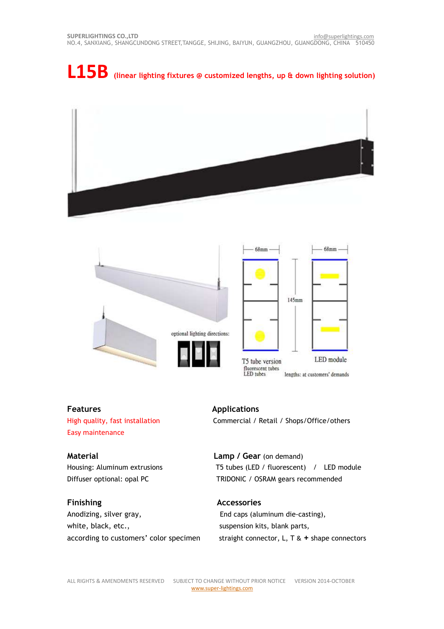# **L15B (linear lighting fixtures @ customized lengths, up & down lighting solution)**





**Features Applications** Easy maintenance

Anodizing, silver gray, The State of the Caps (aluminum die-casting), white, black, etc., suspension kits, blank parts,

High quality, fast installation Commercial / Retail / Shops/Office/others

 $68mm$ 

**Material Lamp / Gear** (on demand) Housing: Aluminum extrusions T5 tubes (LED / fluorescent) / LED module Diffuser optional: opal PC TRIDONIC / OSRAM gears recommended

# **Finishing Accessories**

according to customers' color specimen straight connector, L, T & **+** shape connectors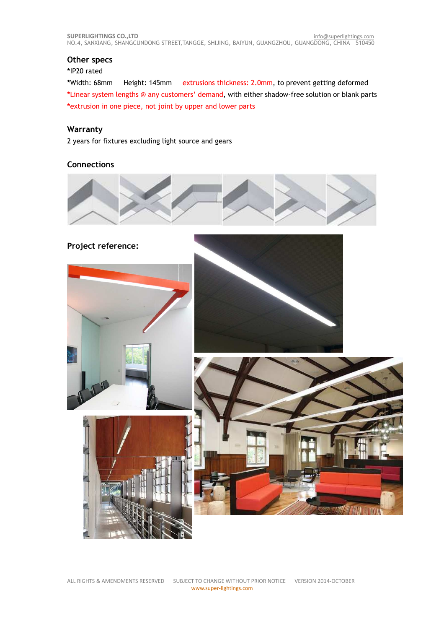# **Other specs**

## **\***IP20 rated

**\***Width: 68mm Height: 145mm extrusions thickness: 2.0mm, to prevent getting deformed **\***Linear system lengths @ any customers' demand, with either shadow-free solution or blank parts **\***extrusion in one piece, not joint by upper and lower parts

# **Warranty**

2 years for fixtures excluding light source and gears

# **Connections**



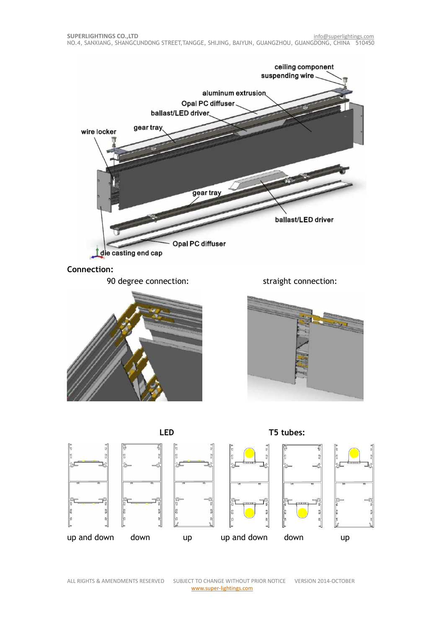

ALL RIGHTS & AMENDMENTS RESERVED SUBJECT TO CHANGE WITHOUT PRIOR NOTICE VERSION 2014-OCTOBER www.super-lightings.com